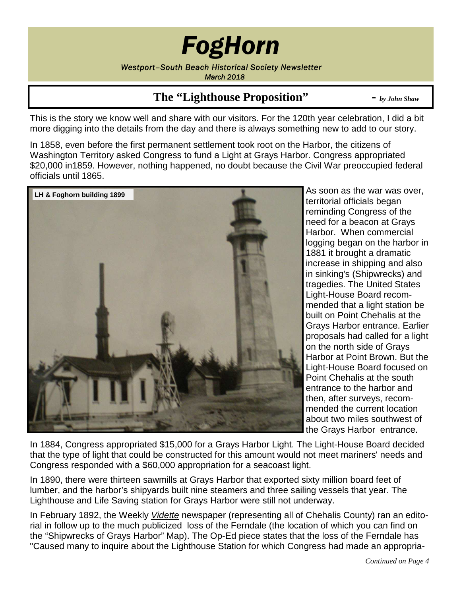# *FogHorn*

*Westport–South Beach Historical Society Newsletter March 2018*

### **The "Lighthouse Proposition" -** *by John Shaw*

This is the story we know well and share with our visitors. For the 120th year celebration, I did a bit more digging into the details from the day and there is always something new to add to our story.

In 1858, even before the first permanent settlement took root on the Harbor, the citizens of Washington Territory asked Congress to fund a Light at Grays Harbor. Congress appropriated \$20,000 in1859. However, nothing happened, no doubt because the Civil War preoccupied federal officials until 1865.



As soon as the war was over, territorial officials began reminding Congress of the need for a beacon at Grays Harbor. When commercial logging began on the harbor in 1881 it brought a dramatic increase in shipping and also in sinking's (Shipwrecks) and tragedies. The United States Light-House Board recommended that a light station be built on Point Chehalis at the Grays Harbor entrance. Earlier proposals had called for a light on the north side of Grays Harbor at Point Brown. But the Light-House Board focused on Point Chehalis at the south entrance to the harbor and then, after surveys, recommended the current location about two miles southwest of the Grays Harbor entrance.

In 1884, Congress appropriated \$15,000 for a Grays Harbor Light. The Light-House Board decided that the type of light that could be constructed for this amount would not meet mariners' needs and Congress responded with a \$60,000 appropriation for a seacoast light.

In 1890, there were thirteen sawmills at Grays Harbor that exported sixty million board feet of lumber, and the harbor's shipyards built nine steamers and three sailing vessels that year. The Lighthouse and Life Saving station for Grays Harbor were still not underway.

In February 1892, the Weekly *Vidette* newspaper (representing all of Chehalis County) ran an editorial in follow up to the much publicized loss of the Ferndale (the location of which you can find on the "Shipwrecks of Grays Harbor" Map). The Op-Ed piece states that the loss of the Ferndale has "Caused many to inquire about the Lighthouse Station for which Congress had made an appropria-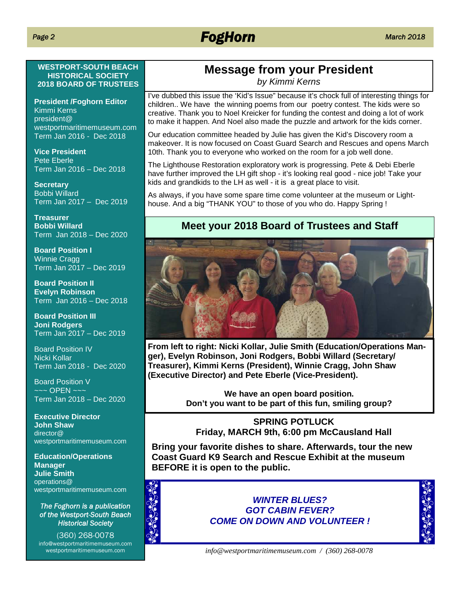## *FogHorn March 2018*

#### **WESTPORT-SOUTH BEACH HISTORICAL SOCIETY 2018 BOARD OF TRUSTEES**

**President /Foghorn Editor** Kimmi Kerns president@ westportmaritimemuseum.com Term Jan 2016 - Dec 2018

**Vice President** Pete Eberle Term Jan 2016 – Dec 2018

**Secretary** Bobbi Willard Term Jan 2017 – Dec 2019

**Treasurer Bobbi Willard** Term Jan 2018 – Dec 2020

**Board Position I** Winnie Cragg Term Jan 2017 – Dec 2019

**Board Position II Evelyn Robinson** Term Jan 2016 – Dec 2018

**Board Position III Joni Rodgers** Term Jan 2017 – Dec 2019

Board Position IV Nicki Kollar Term Jan 2018 - Dec 2020

Board Position V  $\sim$ ~ $\sim$  OPEN ~~~ Term Jan 2018 – Dec 2020

**Executive Director John Shaw** director@ westportmaritimemuseum.com

**Education/Operations Manager Julie Smith** operations@ westportmaritimemuseum.com

*The Foghorn is a publication of the Westport-South Beach Historical Society*

(360) 268-0078 info@westportmaritimemuseum.com westportmaritimemuseum.com

## **Message from your President**

*by Kimmi Kerns*

I've dubbed this issue the 'Kid's Issue" because it's chock full of interesting things for children.. We have the winning poems from our poetry contest. The kids were so creative. Thank you to Noel Kreicker for funding the contest and doing a lot of work to make it happen. And Noel also made the puzzle and artwork for the kids corner.

Our education committee headed by Julie has given the Kid's Discovery room a makeover. It is now focused on Coast Guard Search and Rescues and opens March 10th. Thank you to everyone who worked on the room for a job well done.

The Lighthouse Restoration exploratory work is progressing. Pete & Debi Eberle have further improved the LH gift shop - it's looking real good - nice job! Take your kids and grandkids to the LH as well - it is a great place to visit.

As always, if you have some spare time come volunteer at the museum or Lighthouse. And a big "THANK YOU" to those of you who do. Happy Spring !

### **Meet your 2018 Board of Trustees and Staff**



**From left to right: Nicki Kollar, Julie Smith (Education/Operations Manger), Evelyn Robinson, Joni Rodgers, Bobbi Willard (Secretary/ Treasurer), Kimmi Kerns (President), Winnie Cragg, John Shaw (Executive Director) and Pete Eberle (Vice-President).**

> **We have an open board position. Don't you want to be part of this fun, smiling group?**

#### **SPRING POTLUCK Friday, MARCH 9th, 6:00 pm McCausland Hall**

**Bring your favorite dishes to share. Afterwards, tour the new Coast Guard K9 Search and Rescue Exhibit at the museum BEFORE it is open to the public.**



*WINTER BLUES? GOT CABIN FEVER? COME ON DOWN AND VOLUNTEER !*



*info@westportmaritimemuseum.com / (360) 268-0078*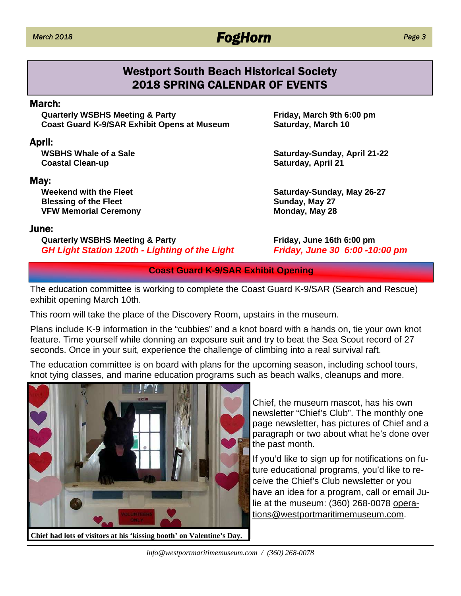### *March 2018 FogHorn*

#### *Page 3*

### Westport South Beach Historical Society 2018 SPRING CALENDAR OF EVENTS

#### March:

**Quarterly WSBHS Meeting & Party Friday, March 9th 6:00 pm Coast Guard K-9/SAR Exhibit Opens at Museum Saturday, March 10** 

#### April:

**Coastal Clean-up Saturday, April 21** 

#### May:

**Blessing of the Fleet <b>Sunday**, May 27 VFW Memorial Ceremony **Monday, May 28** 

#### June:

**Quarterly WSBHS Meeting & Party Friday, June 16th 6:00 pm** *GH Light Station 120th - Lighting of the Light Friday, June 30 6:00 -10:00 pm*

**WSBHS Whale of a Sale Saturday-Sunday, April 21-22**

**Weekend with the Fleet Saturday-Sunday, May 26-27**

#### **Coast Guard K-9/SAR Exhibit Opening**

The education committee is working to complete the Coast Guard K-9/SAR (Search and Rescue) exhibit opening March 10th.

This room will take the place of the Discovery Room, upstairs in the museum.

Plans include K-9 information in the "cubbies" and a knot board with a hands on, tie your own knot feature. Time yourself while donning an exposure suit and try to beat the Sea Scout record of 27 seconds. Once in your suit, experience the challenge of climbing into a real survival raft.

The education committee is on board with plans for the upcoming season, including school tours, knot tying classes, and marine education programs such as beach walks, cleanups and more.



Chief, the museum mascot, has his own newsletter "Chief's Club". The monthly one page newsletter, has pictures of Chief and a paragraph or two about what he's done over the past month.

If you'd like to sign up for notifications on future educational programs, you'd like to receive the Chief's Club newsletter or you have an idea for a program, call or email Julie at the museum: (360) 268-0078 operations@westportmaritimemuseum.com.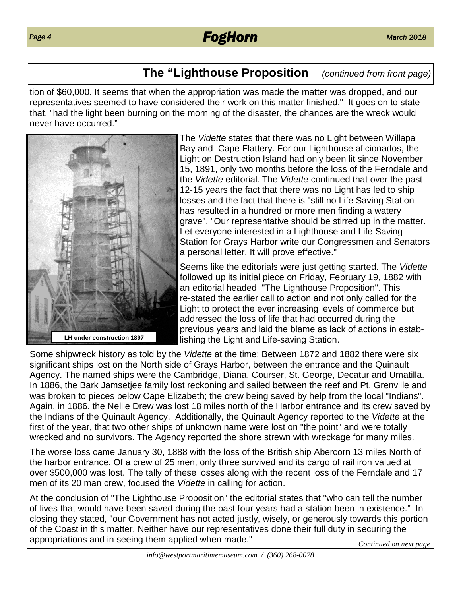### **The "Lighthouse Proposition** *(continued from front page)*

tion of \$60,000. It seems that when the appropriation was made the matter was dropped, and our representatives seemed to have considered their work on this matter finished." It goes on to state that, "had the light been burning on the morning of the disaster, the chances are the wreck would never have occurred."



The *Vidette* states that there was no Light between Willapa Bay and Cape Flattery. For our Lighthouse aficionados, the Light on Destruction Island had only been lit since November 15, 1891, only two months before the loss of the Ferndale and the *Vidette* editorial. The *Vidette* continued that over the past 12-15 years the fact that there was no Light has led to ship losses and the fact that there is "still no Life Saving Station has resulted in a hundred or more men finding a watery grave". "Our representative should be stirred up in the matter. Let everyone interested in a Lighthouse and Life Saving Station for Grays Harbor write our Congressmen and Senators a personal letter. It will prove effective."

Seems like the editorials were just getting started. The *Vidette* followed up its initial piece on Friday, February 19, 1882 with an editorial headed "The Lighthouse Proposition". This re-stated the earlier call to action and not only called for the Light to protect the ever increasing levels of commerce but addressed the loss of life that had occurred during the previous years and laid the blame as lack of actions in establishing the Light and Life-saving Station.

Some shipwreck history as told by the *Vidette* at the time: Between 1872 and 1882 there were six significant ships lost on the North side of Grays Harbor, between the entrance and the Quinault Agency. The named ships were the Cambridge, Diana, Courser, St. George, Decatur and Umatilla. In 1886, the Bark Jamsetjee family lost reckoning and sailed between the reef and Pt. Grenville and was broken to pieces below Cape Elizabeth; the crew being saved by help from the local "Indians". Again, in 1886, the Nellie Drew was lost 18 miles north of the Harbor entrance and its crew saved by the Indians of the Quinault Agency. Additionally, the Quinault Agency reported to the *Vidette* at the first of the year, that two other ships of unknown name were lost on "the point" and were totally wrecked and no survivors. The Agency reported the shore strewn with wreckage for many miles.

The worse loss came January 30, 1888 with the loss of the British ship Abercorn 13 miles North of the harbor entrance. Of a crew of 25 men, only three survived and its cargo of rail iron valued at over \$500,000 was lost. The tally of these losses along with the recent loss of the Ferndale and 17 men of its 20 man crew, focused the *Vidette* in calling for action.

At the conclusion of "The Lighthouse Proposition" the editorial states that "who can tell the number of lives that would have been saved during the past four years had a station been in existence." In closing they stated, "our Government has not acted justly, wisely, or generously towards this portion of the Coast in this matter. Neither have our representatives done their full duty in securing the appropriations and in seeing them applied when made." *Continued on next page*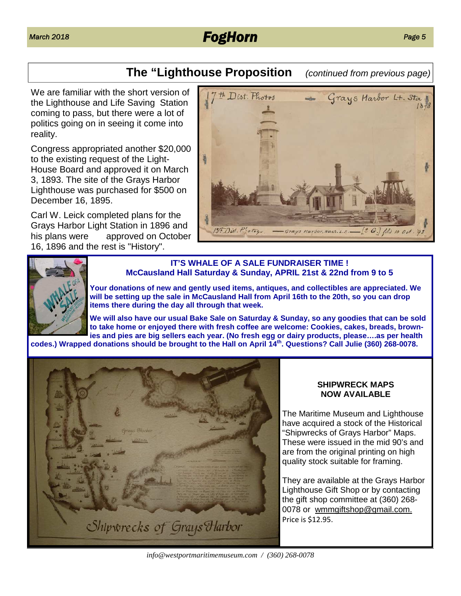### *March 2018 FogHorn Page 5*

### **The "Lighthouse Proposition** *(continued from previous page)*

We are familiar with the short version of the Lighthouse and Life Saving Station coming to pass, but there were a lot of politics going on in seeing it come into reality.

Congress appropriated another \$20,000 to the existing request of the Light-House Board and approved it on March 3, 1893. The site of the Grays Harbor Lighthouse was purchased for \$500 on December 16, 1895.

Carl W. Leick completed plans for the Grays Harbor Light Station in 1896 and his plans were approved on October 16, 1896 and the rest is "History".





#### **IT'S WHALE OF A SALE FUNDRAISER TIME ! McCausland Hall Saturday & Sunday, APRIL 21st & 22nd from 9 to 5**

**Your donations of new and gently used items, antiques, and collectibles are appreciated. We will be setting up the sale in McCausland Hall from April 16th to the 20th, so you can drop items there during the day all through that week.**

**We will also have our usual Bake Sale on Saturday & Sunday, so any goodies that can be sold to take home or enjoyed there with fresh coffee are welcome: Cookies, cakes, breads, brownies and pies are big sellers each year. (No fresh egg or dairy products, please….as per health codes.) Wrapped donations should be brought to the Hall on April 14th. Questions? Call Julie (360) 268-0078.**



#### **SHIPWRECK MAPS NOW AVAILABLE**

The Maritime Museum and Lighthouse have acquired a stock of the Historical "Shipwrecks of Grays Harbor" Maps. These were issued in the mid 90's and are from the original printing on high quality stock suitable for framing.

They are available at the Grays Harbor Lighthouse Gift Shop or by contacting the gift shop committee at (360) 268- 0078 or wmmgiftshop@gmail.com. Price is \$12.95.

*info@westportmaritimemuseum.com / (360) 268-0078*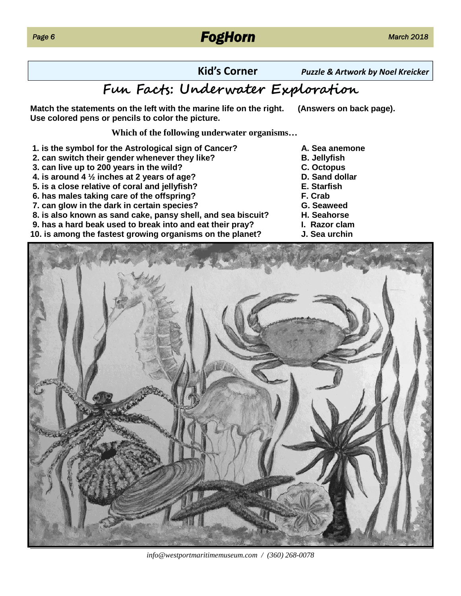### *FogHorn March 2018*

**Kid's Corner** *Puzzle & Artwork by Noel Kreicker*

### **F Fact: Un wa E lrai**

**Match the statements on the left with the marine life on the right. (Answers on back page). Use colored pens or pencils to color the picture.**

**Which of the following underwater organisms…**

- **1. is the symbol for the Astrological sign of Cancer? A. Sea anemone**
- **2. can switch their gender whenever they like? B. Jellyfish**
- **3. can live up to 200 years in the wild? C. Octopus**
- **4. is around 4 ½ inches at 2 years of age? D. Sand dollar**
- **5. is a close relative of coral and jellyfish? E. Starfish**
- **6. has males taking care of the offspring? F. Crab**
- **7. can glow in the dark in certain species? G. Seaweed**
- **8. is also known as sand cake, pansy shell, and sea biscuit? H. Seahorse**
- **9. has a hard beak used to break into and eat their pray? I. Razor clam**
- **10. is among the fastest growing organisms on the planet? J. Sea urchin**
- 
- 
- 
- 
- 
- 
- 
- 
- 
- 



*info@westportmaritimemuseum.com / (360) 268-0078*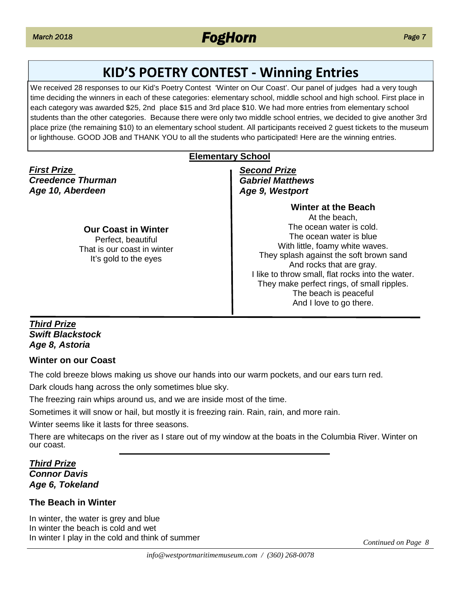### **KID'S POETRY CONTEST - Winning Entries**

We received 28 responses to our Kid's Poetry Contest 'Winter on Our Coast'. Our panel of judges had a very tough time deciding the winners in each of these categories: elementary school, middle school and high school. First place in each category was awarded \$25, 2nd place \$15 and 3rd place \$10. We had more entries from elementary school students than the other categories. Because there were only two middle school entries, we decided to give another 3rd place prize (the remaining \$10) to an elementary school student. All participants received 2 guest tickets to the museum or lighthouse. GOOD JOB and THANK YOU to all the students who participated! Here are the winning entries.

#### **Elementary School**

*First Prize Creedence Thurman Age 10, Aberdeen*

#### **Our Coast in Winter** Perfect, beautiful That is our coast in winter It's gold to the eyes

*Second Prize Gabriel Matthews Age 9, Westport*

> **Winter at the Beach** At the beach, The ocean water is cold. The ocean water is blue With little, foamy white waves. They splash against the soft brown sand And rocks that are gray. I like to throw small, flat rocks into the water. They make perfect rings, of small ripples. The beach is peaceful And I love to go there.

#### *Third Prize Swift Blackstock Age 8, Astoria*

#### **Winter on our Coast**

The cold breeze blows making us shove our hands into our warm pockets, and our ears turn red.

Dark clouds hang across the only sometimes blue sky.

The freezing rain whips around us, and we are inside most of the time.

Sometimes it will snow or hail, but mostly it is freezing rain. Rain, rain, and more rain.

Winter seems like it lasts for three seasons.

There are whitecaps on the river as I stare out of my window at the boats in the Columbia River. Winter on our coast.

#### *Third Prize Connor Davis Age 6, Tokeland*

#### **The Beach in Winter**

In winter, the water is grey and blue In winter the beach is cold and wet In winter I play in the cold and think of summer *Continued on Page 8*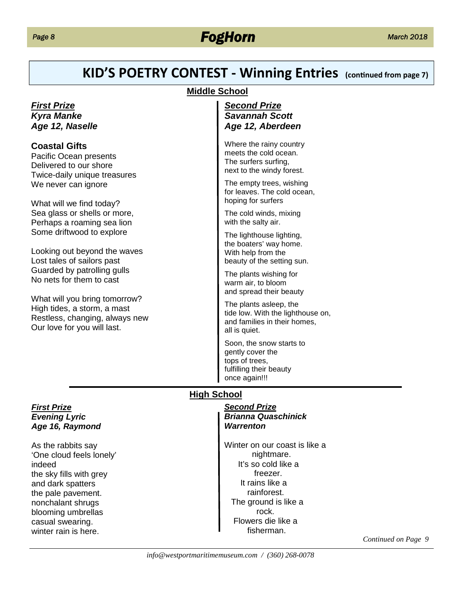### *FogHorn March 2018*

### **KID'S POETRY CONTEST - Winning Entries** (continued from page 7)

#### **Middle School**

#### *First Prize Kyra Manke Age 12, Naselle*

#### **Coastal Gifts**

Pacific Ocean presents Delivered to our shore Twice-daily unique treasures We never can ignore

What will we find today? Sea glass or shells or more, Perhaps a roaming sea lion Some driftwood to explore

Looking out beyond the waves Lost tales of sailors past Guarded by patrolling gulls No nets for them to cast

What will you bring tomorrow? High tides, a storm, a mast Restless, changing, always new Our love for you will last.

#### *Second Prize Savannah Scott Age 12, Aberdeen*

Where the rainy country meets the cold ocean. The surfers surfing, next to the windy forest.

The empty trees, wishing for leaves. The cold ocean, hoping for surfers

The cold winds, mixing with the salty air.

The lighthouse lighting, the boaters' way home. With help from the beauty of the setting sun.

The plants wishing for warm air, to bloom and spread their beauty

The plants asleep, the tide low. With the lighthouse on, and families in their homes, all is quiet.

Soon, the snow starts to gently cover the tops of trees, fulfilling their beauty once again!!!

#### **High School**

*Second Prize Brianna Quaschinick Warrenton*

Winter on our coast is like a nightmare. It's so cold like a freezer. It rains like a rainforest. The ground is like a rock. Flowers die like a fisherman.

*Continued on Page 9*

*First Prize Evening Lyric Age 16, Raymond*

As the rabbits say 'One cloud feels lonely' indeed the sky fills with grey and dark spatters the pale pavement. nonchalant shrugs blooming umbrellas casual swearing. winter rain is here.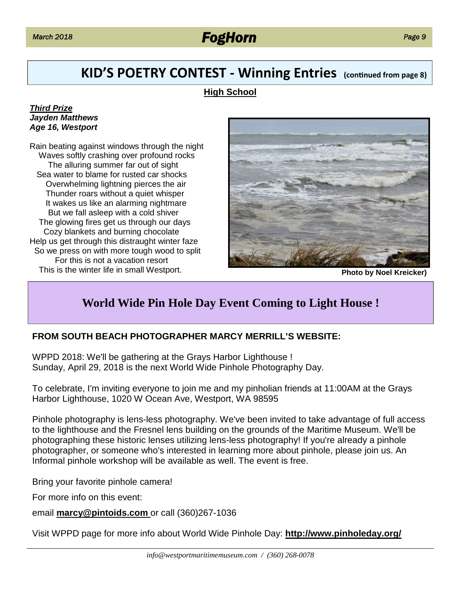### *March 2018 FogHorn*

### **KID'S POETRY CONTEST - Winning Entries** (continued from page 8)

#### **High School**

#### *Third Prize Jayden Matthews Age 16, Westport*

Rain beating against windows through the night Waves softly crashing over profound rocks The alluring summer far out of sight Sea water to blame for rusted car shocks Overwhelming lightning pierces the air Thunder roars without a quiet whisper It wakes us like an alarming nightmare But we fall asleep with a cold shiver The glowing fires get us through our days Cozy blankets and burning chocolate Help us get through this distraught winter faze So we press on with more tough wood to split For this is not a vacation resort This is the winter life in small Westport. **Photo by Noel Kreicker) Photo by Noel Kreicker** 



### **World Wide Pin Hole Day Event Coming to Light House !**

#### **FROM SOUTH BEACH PHOTOGRAPHER MARCY MERRILL'S WEBSITE:**

WPPD 2018: We'll be gathering at the Grays Harbor Lighthouse ! Sunday, April 29, 2018 is the next World Wide Pinhole Photography Day.

To celebrate, I'm inviting everyone to join me and my pinholian friends at 11:00AM at the Grays Harbor Lighthouse, 1020 W Ocean Ave, Westport, WA 98595

Pinhole photography is lens-less photography. We've been invited to take advantage of full access to the lighthouse and the Fresnel lens building on the grounds of the Maritime Museum. We'll be photographing these historic lenses utilizing lens-less photography! If you're already a pinhole photographer, or someone who's interested in learning more about pinhole, please join us. An Informal pinhole workshop will be available as well. The event is free.

Bring your favorite pinhole camera!

For more info on this event:

email **marcy@pintoids.com** or call (360)267-1036

Visit WPPD page for more info about World Wide Pinhole Day: **http://www.pinholeday.org/**